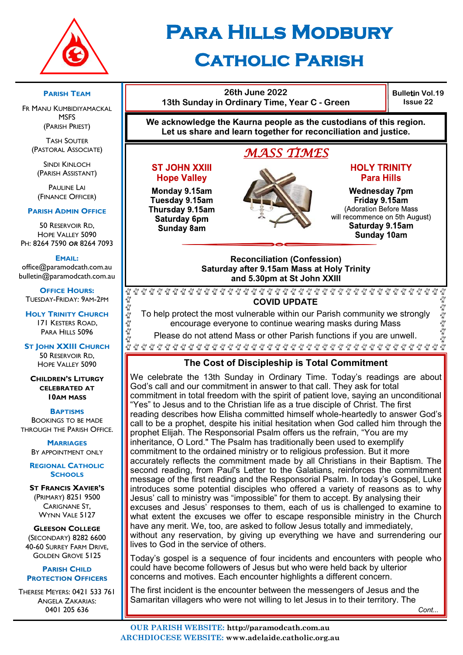

# **Para Hills Modbury Catholic Parish**

#### **PARISH TEAM**

FR MANU KUMBIDIYAMACKAL **MSFS** (PARISH PRIEST)

TASH SOUTER (PASTORAL ASSOCIATE)

SINDI KINLOCH (PARISH ASSISTANT)

**PAULINE LAI** (FINANCE OFFICER)

#### **PARISH ADMIN OFFICE**

50 RESERVOIR RD, HOPE VALLEY 5090 PH: 8264 7590 *OR* 8264 7093

#### **EMAIL:**

office@paramodcath.com.au bulletin@paramodcath.com.au

**OFFICE HOURS:**  TUESDAY-FRIDAY: 9AM-2PM

**HOLY TRINITY CHURCH** 171 KESTERS ROAD, PARA HILLS 5096

Eg Eg Eg Eg Eg

Eg Eg E

**ST JOHN XXIII CHURCH** 50 RESERVOIR RD, HOPE VALLEY 5090

**CHILDREN'S LITURGY CELEBRATED AT 10AM MASS**

**BAPTISMS**

BOOKINGS TO BE MADE THROUGH THE PARISH OFFICE.

> **MARRIAGES** BY APPOINTMENT ONLY

**REGIONAL CATHOLIC SCHOOLS**

**ST FRANCIS XAVIER'S** (PRIMARY) 8251 9500 CARIGNANE ST, WYNN VALE 5127

**GLEESON COLLEGE** (SECONDARY) 8282 6600 40-60 SURREY FARM DRIVE, GOLDEN GROVE 5125

#### **PARISH CHILD PROTECTION OFFICERS**

THERESE MEYERS: 0421 533 761 ANGELA ZAKARIAS: 0401 205 636



**26th June 2022**

Monday 9.15am Tuesday 9.15am Thursday 9.15am Saturday 6pm Sunday 8am

**Hope Valley** 

#### **Para Hills Wednesday 7pm** Friday 9.15am (Adoration Before Mass will recommence on 5th August) Saturday 9.15am

**Bulletin Vol.19 Issue 22**

Sunday 10am

#### **Reconciliation (Confession) Saturday after 9.15am Mass at Holy Trinity and 5.30pm at St John XXIII**

E E E E E E **COVID UPDATE**

To help protect the most vulnerable within our Parish community we strongly encourage everyone to continue wearing masks during Mass

Please do not attend Mass or other Parish functions if you are unwell.

#### **The Cost of Discipleship is Total Commitment**

We celebrate the 13th Sunday in Ordinary Time. Today's readings are about God's call and our commitment in answer to that call. They ask for total commitment in total freedom with the spirit of patient love, saying an unconditional "Yes" to Jesus and to the Christian life as a true disciple of Christ. The first reading describes how Elisha committed himself whole-heartedly to answer God's call to be a prophet, despite his initial hesitation when God called him through the prophet Elijah. The Responsorial Psalm offers us the refrain, "You are my inheritance, O Lord." The Psalm has traditionally been used to exemplify commitment to the ordained ministry or to religious profession. But it more accurately reflects the commitment made by all Christians in their Baptism. The second reading, from Paul's Letter to the Galatians, reinforces the commitment message of the first reading and the Responsorial Psalm. In today's Gospel, Luke introduces some potential disciples who offered a variety of reasons as to why Jesus' call to ministry was "impossible" for them to accept. By analysing their excuses and Jesus' responses to them, each of us is challenged to examine to what extent the excuses we offer to escape responsible ministry in the Church have any merit. We, too, are asked to follow Jesus totally and immediately, without any reservation, by giving up everything we have and surrendering our lives to God in the service of others.

Today's gospel is a sequence of four incidents and encounters with people who could have become followers of Jesus but who were held back by ulterior concerns and motives. Each encounter highlights a different concern.

The first incident is the encounter between the messengers of Jesus and the Samaritan villagers who were not willing to let Jesus in to their territory. The

นั้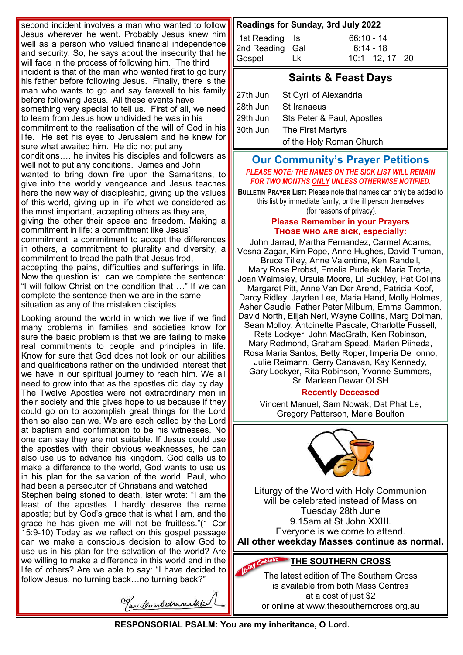second incident involves a man who wanted to follow Jesus wherever he went. Probably Jesus knew him well as a person who valued financial independence and security. So, he says about the insecurity that he will face in the process of following him. The third incident is that of the man who wanted first to go bury his father before following Jesus. Finally, there is the man who wants to go and say farewell to his family before following Jesus. All these events have something very special to tell us. First of all, we need to learn from Jesus how undivided he was in his commitment to the realisation of the will of God in his life. He set his eyes to Jerusalem and he knew for sure what awaited him. He did not put any conditions…. he invites his disciples and followers as well not to put any conditions. James and John wanted to bring down fire upon the Samaritans, to give into the worldly vengeance and Jesus teaches here the new way of discipleship, giving up the values of this world, giving up in life what we considered as the most important, accepting others as they are, giving the other their space and freedom. Making a commitment in life: a commitment like Jesus' commitment, a commitment to accept the differences in others, a commitment to plurality and diversity, a commitment to tread the path that Jesus trod, accepting the pains, difficulties and sufferings in life. Now the question is: can we complete the sentence: "I will follow Christ on the condition that …" If we can complete the sentence then we are in the same situation as any of the mistaken disciples.

Looking around the world in which we live if we find many problems in families and societies know for sure the basic problem is that we are failing to make real commitments to people and principles in life. Know for sure that God does not look on our abilities and qualifications rather on the undivided interest that we have in our spiritual journey to reach him. We all need to grow into that as the apostles did day by day. The Twelve Apostles were not extraordinary men in their society and this gives hope to us because if they could go on to accomplish great things for the Lord then so also can we. We are each called by the Lord at baptism and confirmation to be his witnesses. No one can say they are not suitable. If Jesus could use the apostles with their obvious weaknesses, he can also use us to advance his kingdom. God calls us to make a difference to the world, God wants to use us in his plan for the salvation of the world. Paul, who had been a persecutor of Christians and watched

Stephen being stoned to death, later wrote: "I am the least of the apostles...I hardly deserve the name apostle; but by God's grace that is what I am, and the grace he has given me will not be fruitless."(1 Cor 15:9-10) Today as we reflect on this gospel passage can we make a conscious decision to allow God to use us in his plan for the salvation of the world? Are we willing to make a difference in this world and in the life of others? Are we able to say: "I have decided to follow Jesus, no turning back…no turning back?"

Tanulsumbudramalaked

#### **Readings for Sunday, 3rd July 2022**

| 1st Reading Is  |    | $66:10 - 14$         |
|-----------------|----|----------------------|
| 2nd Reading Gal |    | $6:14 - 18$          |
| Gospel          | Lk | $10:1 - 12, 17 - 20$ |

## **Saints & Feast Days**

| $\ $ 27th Jun | St Cyril of Alexandria     |  |
|---------------|----------------------------|--|
| $\ $ 28th Jun | St Iranaeus                |  |
| $\ $ 29th Jun | Sts Peter & Paul, Apostles |  |
| 30th Jun      | The First Martyrs          |  |
|               | of the Holy Roman Church   |  |

#### **Our Community's Prayer Petitions**  *PLEASE NOTE: THE NAMES ON THE SICK LIST WILL REMAIN FOR TWO MONTHS ONLY UNLESS OTHERWISE NOTIFIED.*

**BULLETIN PRAYER LIST:** Please note that names can only be added to this list by immediate family, or the ill person themselves (for reasons of privacy).

#### **Please Remember in your Prayers Those who are sick, especially:**

John Jarrad, Martha Fernandez, Carmel Adams, Vesna Zagar, Kim Pope, Anne Hughes, David Truman, Bruce Tilley, Anne Valentine, Ken Randell, Mary Rose Probst, Emelia Pudelek, Maria Trotta, Joan Walmsley, Ursula Moore, Lil Buckley, Pat Collins, Margaret Pitt, Anne Van Der Arend, Patricia Kopf, Darcy Ridley, Jayden Lee, Maria Hand, Molly Holmes, Asher Caudle, Father Peter Milburn, Emma Gammon, David North, Elijah Neri, Wayne Collins, Marg Dolman, Sean Molloy, Antoinette Pascale, Charlotte Fussell, Reta Lockyer, John MacGrath, Ken Robinson, Mary Redmond, Graham Speed, Marlen Piineda, Rosa Maria Santos, Betty Roper, Imperia De Ionno, Julie Reimann, Gerry Canavan, Kay Kennedy, Gary Lockyer, Rita Robinson, Yvonne Summers, Sr. Marleen Dewar OLSH

#### **Recently Deceased**

Vincent Manuel, Sam Nowak, Dat Phat Le, Gregory Patterson, Marie Boulton



Liturgy of the Word with Holy Communion will be celebrated instead of Mass on Tuesday 28th June 9.15am at St John XXIII. Everyone is welcome to attend. **All other weekday Masses continue as normal.**

# **THE SOUTHERN CROSS**

The latest edition of The Southern Cross is available from both Mass Centres at a cost of just \$2 or online at www.thesoutherncross.org.au

**RESPONSORIAL PSALM: You are my inheritance, O Lord.**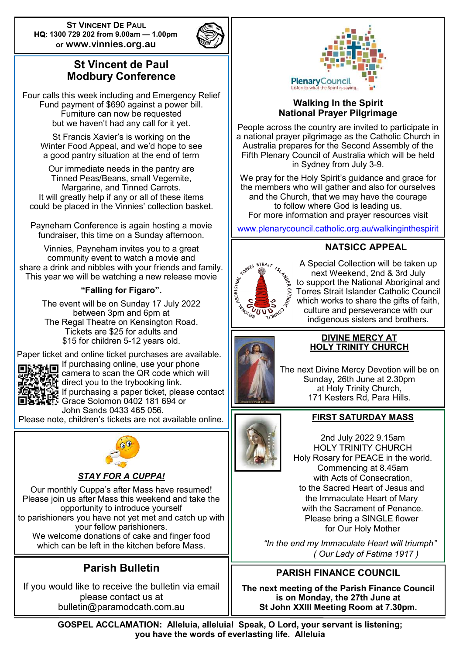**ST VINCENT DE PAUL HQ: 1300 729 202 from 9.00am — 1.00pm or www.vinnies.org.au** 



# **St Vincent de Paul Modbury Conference**

Four calls this week including and Emergency Relief Fund payment of \$690 against a power bill. Furniture can now be requested but we haven't had any call for it yet.

St Francis Xavier's is working on the Winter Food Appeal, and we'd hope to see a good pantry situation at the end of term

Our immediate needs in the pantry are Tinned Peas/Beans, small Vegemite, Margarine, and Tinned Carrots. It will greatly help if any or all of these items could be placed in the Vinnies' collection basket.

Payneham Conference is again hosting a movie fundraiser, this time on a Sunday afternoon.

Vinnies, Payneham invites you to a great community event to watch a movie and share a drink and nibbles with your friends and family. This year we will be watching a new release movie

### **"Falling for Figaro".**

The event will be on Sunday 17 July 2022 between 3pm and 6pm at The Regal Theatre on Kensington Road. Tickets are \$25 for adults and \$15 for children 5-12 years old.

Paper ticket and online ticket purchases are available. If purchasing online, use your phone



camera to scan the QR code which will direct you to the trybooking link.

If purchasing a paper ticket, please contact Grace Solomon 0402 181 694 or

John Sands 0433 465 056.

Please note, children's tickets are not available online.



#### *STAY FOR A CUPPA!*

Our monthly Cuppa's after Mass have resumed! Please join us after Mass this weekend and take the opportunity to introduce yourself to parishioners you have not yet met and catch up with your fellow parishioners. We welcome donations of cake and finger food which can be left in the kitchen before Mass.

# **Parish Bulletin**

If you would like to receive the bulletin via email please contact us at bulletin@paramodcath.com.au



#### **Walking In the Spirit National Prayer Pilgrimage**

People across the country are invited to participate in a national prayer pilgrimage as the Catholic Church in Australia prepares for the Second Assembly of the Fifth Plenary Council of Australia which will be held in Sydney from July 3-9.

We pray for the Holy Spirit's guidance and grace for the members who will gather and also for ourselves and the Church, that we may have the courage to follow where God is leading us. For more information and prayer resources visit

[www.plenarycouncil.catholic.org.au/walkinginthespirit](http://www.plenarycouncil.catholic.org.au/walkinginthespirit)

# **TORRES STRAIT**

**NATSICC APPEAL** 

A Special Collection will be taken up next Weekend, 2nd & 3rd July to support the National Aboriginal and Torres Strait Islander Catholic Council which works to share the gifts of faith, culture and perseverance with our indigenous sisters and brothers.



#### **DIVINE MERCY AT HOLY TRINITY CHURCH**

The next Divine Mercy Devotion will be on Sunday, 26th June at 2.30pm at Holy Trinity Church, 171 Kesters Rd, Para Hills.

#### **FIRST SATURDAY MASS**

2nd July 2022 9.15am HOLY TRINITY CHURCH Holy Rosary for PEACE in the world. Commencing at 8.45am with Acts of Consecration, to the Sacred Heart of Jesus and the Immaculate Heart of Mary with the Sacrament of Penance. Please bring a SINGLE flower for Our Holy Mother

 *"In the end my Immaculate Heart will triumph" ( Our Lady of Fatima 1917 )*

## **PARISH FINANCE COUNCIL**

**The next meeting of the Parish Finance Council is on Monday, the 27th June at St John XXIII Meeting Room at 7.30pm.**

**GOSPEL ACCLAMATION: Alleluia, alleluia! Speak, O Lord, your servant is listening; you have the words of everlasting life. Alleluia**